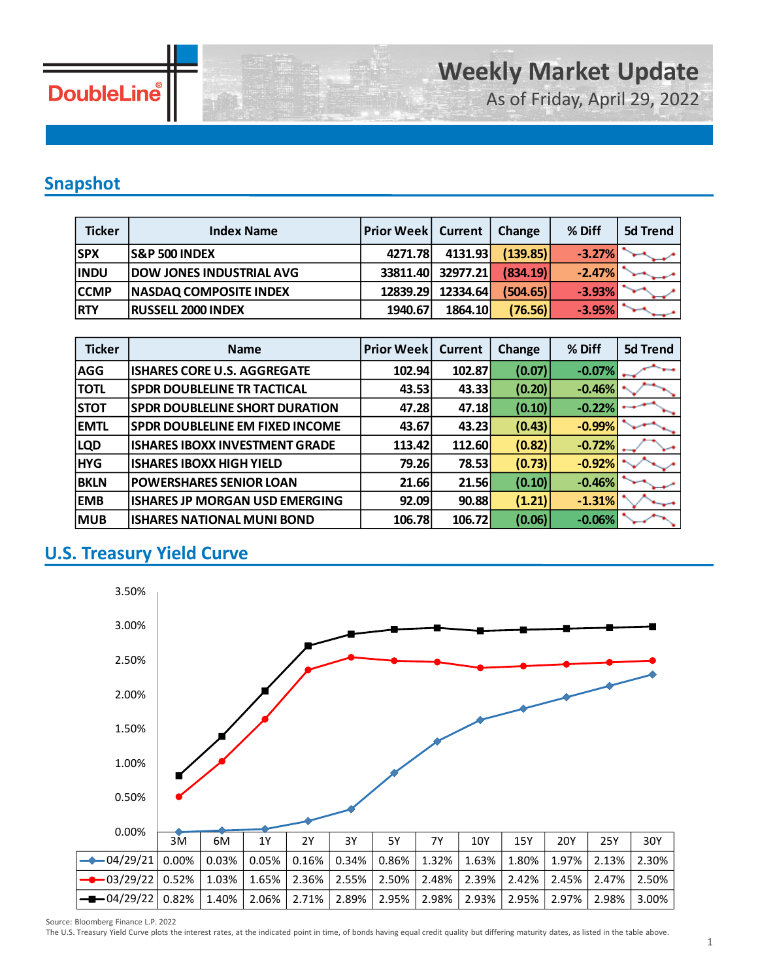

As of Friday, April 29, 2022

## **Snapshot**

| <b>Ticker</b> | <b>Index Name</b>               | <b>Prior Week   Current</b> |          | Change   | % Diff   | 5d Trend |
|---------------|---------------------------------|-----------------------------|----------|----------|----------|----------|
| <b>SPX</b>    | <b>S&amp;P 500 INDEX</b>        | 4271.78                     | 4131.93  | (139.85) | $-3.27%$ |          |
| <b>INDU</b>   | <b>DOW JONES INDUSTRIAL AVG</b> | 33811.40                    | 32977.21 | (834.19) | $-2.47%$ |          |
| <b>CCMP</b>   | <b>NASDAQ COMPOSITE INDEX</b>   | 12839.29                    | 12334.64 | (504.65) | $-3.93%$ |          |
| <b>RTY</b>    | <b>RUSSELL 2000 INDEX</b>       | 1940.67                     | 1864.10  | (76.56)  | $-3.95%$ |          |

| <b>Ticker</b> | <b>Name</b>                            | <b>Prior Week</b> | <b>Current</b> | <b>Change</b> | % Diff   | <b>5d Trend</b> |
|---------------|----------------------------------------|-------------------|----------------|---------------|----------|-----------------|
| <b>AGG</b>    | <b>ISHARES CORE U.S. AGGREGATE</b>     | 102.94            | 102.87         | (0.07)        | $-0.07%$ |                 |
| <b>TOTL</b>   | <b>SPDR DOUBLELINE TR TACTICAL</b>     | 43.53             | 43.33          | (0.20)        | $-0.46%$ |                 |
| <b>STOT</b>   | <b>SPDR DOUBLELINE SHORT DURATION</b>  | 47.28             | 47.18          | (0.10)        | $-0.22%$ |                 |
| <b>EMTL</b>   | <b>SPDR DOUBLELINE EM FIXED INCOME</b> | 43.67             | 43.23          | (0.43)        | $-0.99%$ |                 |
| <b>LQD</b>    | <b>ISHARES IBOXX INVESTMENT GRADE</b>  | 113.42            | 112.60         | (0.82)        | $-0.72%$ |                 |
| <b>HYG</b>    | <b>ISHARES IBOXX HIGH YIELD</b>        | 79.26             | 78.53          | (0.73)        | $-0.92%$ |                 |
| <b>BKLN</b>   | <b>POWERSHARES SENIOR LOAN</b>         | 21.66             | 21.56          | (0.10)        | $-0.46%$ |                 |
| <b>EMB</b>    | ISHARES JP MORGAN USD EMERGING         | 92.09             | 90.88          | (1.21)        | $-1.31%$ |                 |
| <b>MUB</b>    | <b>ISHARES NATIONAL MUNI BOND</b>      | 106.78            | 106.72         | (0.06)        | $-0.06%$ |                 |

## **U.S. Treasury Yield Curve**



Source: Bloomberg Finance L.P. 2022

The U.S. Treasury Yield Curve plots the interest rates, at the indicated point in time, of bonds having equal credit quality but differing maturity dates, as listed in the table above.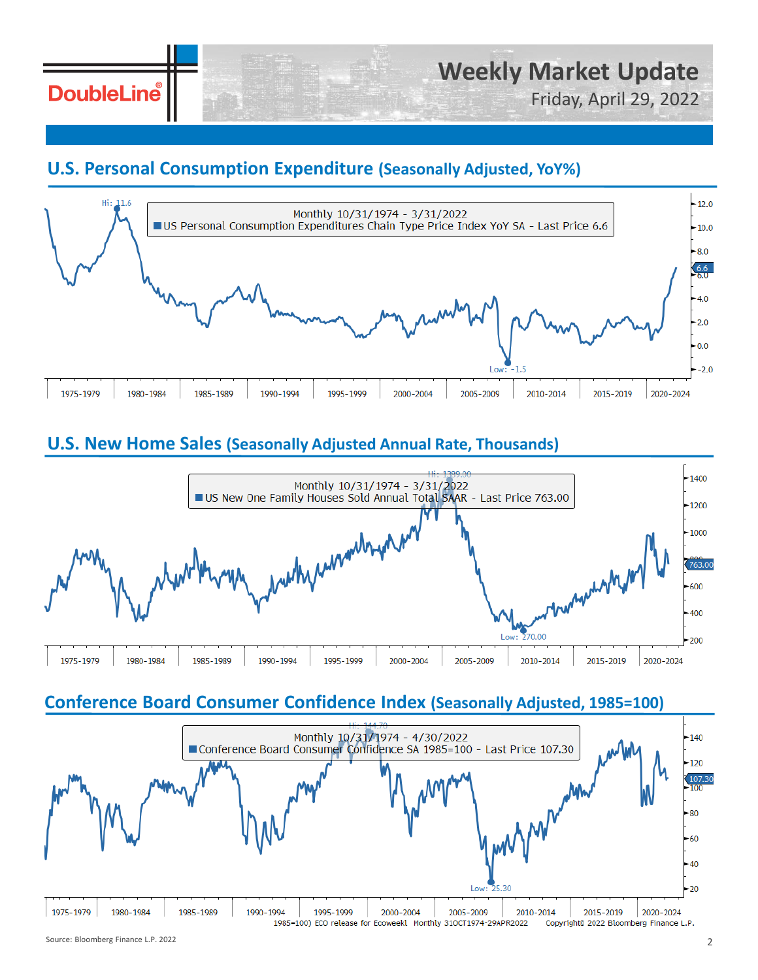# **DoubleLine**

# Friday, April 29, 2022

## **U.S. Personal Consumption Expenditure (Seasonally Adjusted, YoY%)**



## **U.S. New Home Sales (Seasonally Adjusted Annual Rate, Thousands)**



### **Conference Board Consumer Confidence Index (Seasonally Adjusted, 1985=100)**

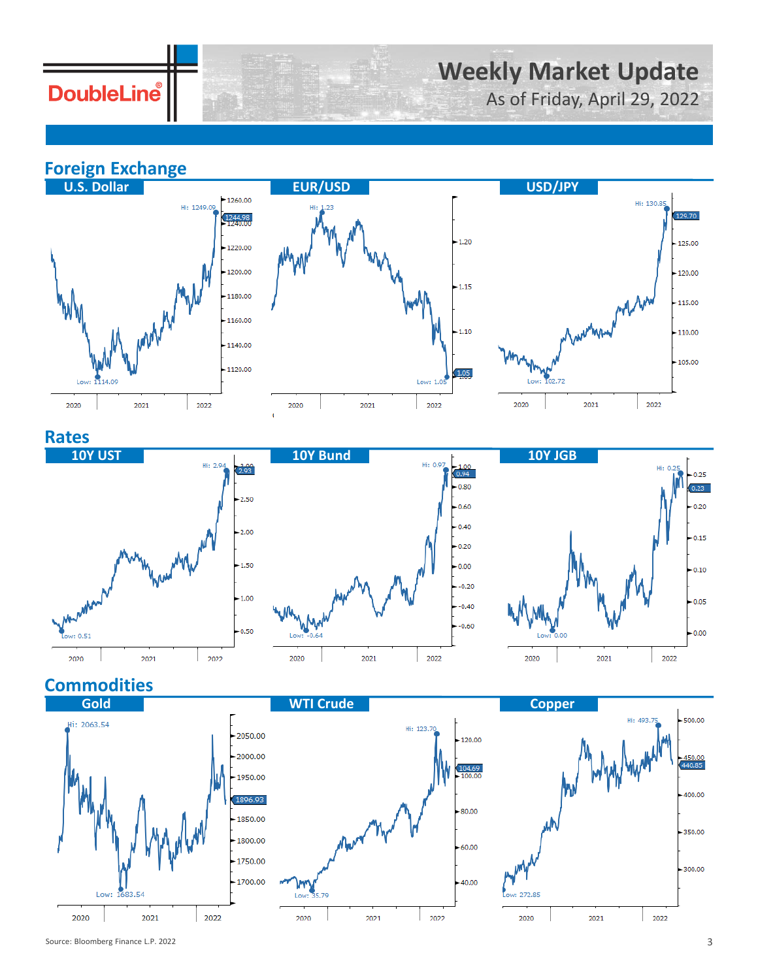# **DoubleLine**

# **Weekly Market Update**

As of Friday, April 29, 2022

**Foreign Exchange**







### **Rates**







## **Commodities**